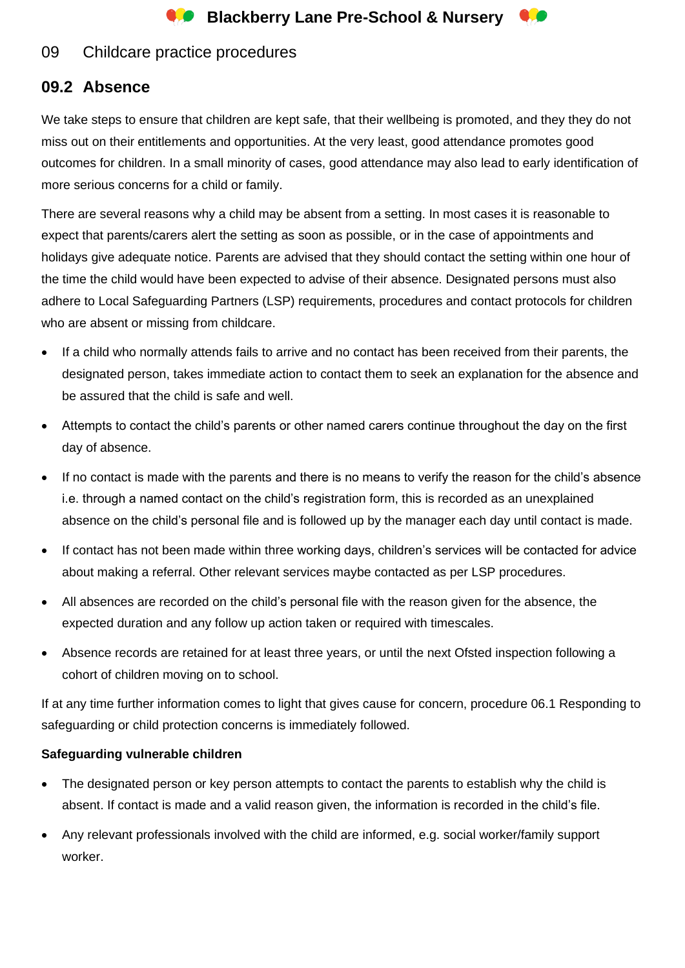

## 09 Childcare practice procedures

# **09.2 Absence**

We take steps to ensure that children are kept safe, that their wellbeing is promoted, and they they do not miss out on their entitlements and opportunities. At the very least, good attendance promotes good outcomes for children. In a small minority of cases, good attendance may also lead to early identification of more serious concerns for a child or family.

There are several reasons why a child may be absent from a setting. In most cases it is reasonable to expect that parents/carers alert the setting as soon as possible, or in the case of appointments and holidays give adequate notice. Parents are advised that they should contact the setting within one hour of the time the child would have been expected to advise of their absence. Designated persons must also adhere to Local Safeguarding Partners (LSP) requirements, procedures and contact protocols for children who are absent or missing from childcare.

- If a child who normally attends fails to arrive and no contact has been received from their parents, the designated person, takes immediate action to contact them to seek an explanation for the absence and be assured that the child is safe and well.
- Attempts to contact the child's parents or other named carers continue throughout the day on the first day of absence.
- If no contact is made with the parents and there is no means to verify the reason for the child's absence i.e. through a named contact on the child's registration form, this is recorded as an unexplained absence on the child's personal file and is followed up by the manager each day until contact is made.
- If contact has not been made within three working days, children's services will be contacted for advice about making a referral. Other relevant services maybe contacted as per LSP procedures.
- All absences are recorded on the child's personal file with the reason given for the absence, the expected duration and any follow up action taken or required with timescales.
- Absence records are retained for at least three years, or until the next Ofsted inspection following a cohort of children moving on to school.

If at any time further information comes to light that gives cause for concern, procedure 06.1 Responding to safeguarding or child protection concerns is immediately followed.

### **Safeguarding vulnerable children**

- The designated person or key person attempts to contact the parents to establish why the child is absent. If contact is made and a valid reason given, the information is recorded in the child's file.
- Any relevant professionals involved with the child are informed, e.g. social worker/family support worker.